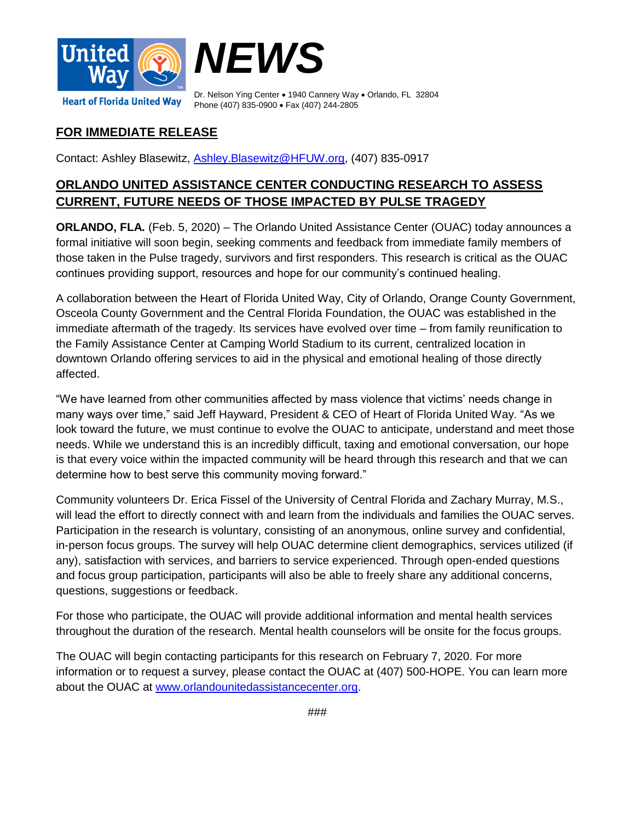

Dr. Nelson Ying Center . 1940 Cannery Way . Orlando, FL 32804 **Heart of Florida United Way** Phone (407) 835-0900 • Fax (407) 244-2805

## **FOR IMMEDIATE RELEASE**

Contact: Ashley Blasewitz, [Ashley.Blasewitz@HFUW.org,](mailto:Ashley.Blasewitz@HFUW.org) (407) 835-0917

## **ORLANDO UNITED ASSISTANCE CENTER CONDUCTING RESEARCH TO ASSESS CURRENT, FUTURE NEEDS OF THOSE IMPACTED BY PULSE TRAGEDY**

**ORLANDO, FLA.** (Feb. 5, 2020) – The Orlando United Assistance Center (OUAC) today announces a formal initiative will soon begin, seeking comments and feedback from immediate family members of those taken in the Pulse tragedy, survivors and first responders. This research is critical as the OUAC continues providing support, resources and hope for our community's continued healing.

A collaboration between the Heart of Florida United Way, City of Orlando, Orange County Government, Osceola County Government and the Central Florida Foundation, the OUAC was established in the immediate aftermath of the tragedy. Its services have evolved over time – from family reunification to the Family Assistance Center at Camping World Stadium to its current, centralized location in downtown Orlando offering services to aid in the physical and emotional healing of those directly affected.

"We have learned from other communities affected by mass violence that victims' needs change in many ways over time," said Jeff Hayward, President & CEO of Heart of Florida United Way. "As we look toward the future, we must continue to evolve the OUAC to anticipate, understand and meet those needs. While we understand this is an incredibly difficult, taxing and emotional conversation, our hope is that every voice within the impacted community will be heard through this research and that we can determine how to best serve this community moving forward."

Community volunteers Dr. Erica Fissel of the University of Central Florida and Zachary Murray, M.S., will lead the effort to directly connect with and learn from the individuals and families the OUAC serves. Participation in the research is voluntary, consisting of an anonymous, online survey and confidential, in-person focus groups. The survey will help OUAC determine client demographics, services utilized (if any), satisfaction with services, and barriers to service experienced. Through open-ended questions and focus group participation, participants will also be able to freely share any additional concerns, questions, suggestions or feedback.

For those who participate, the OUAC will provide additional information and mental health services throughout the duration of the research. Mental health counselors will be onsite for the focus groups.

The OUAC will begin contacting participants for this research on February 7, 2020. For more information or to request a survey, please contact the OUAC at (407) 500-HOPE. You can learn more about the OUAC at [www.orlandounitedassistancecenter.org.](http://www.orlandounitedassistancecenter.org/)